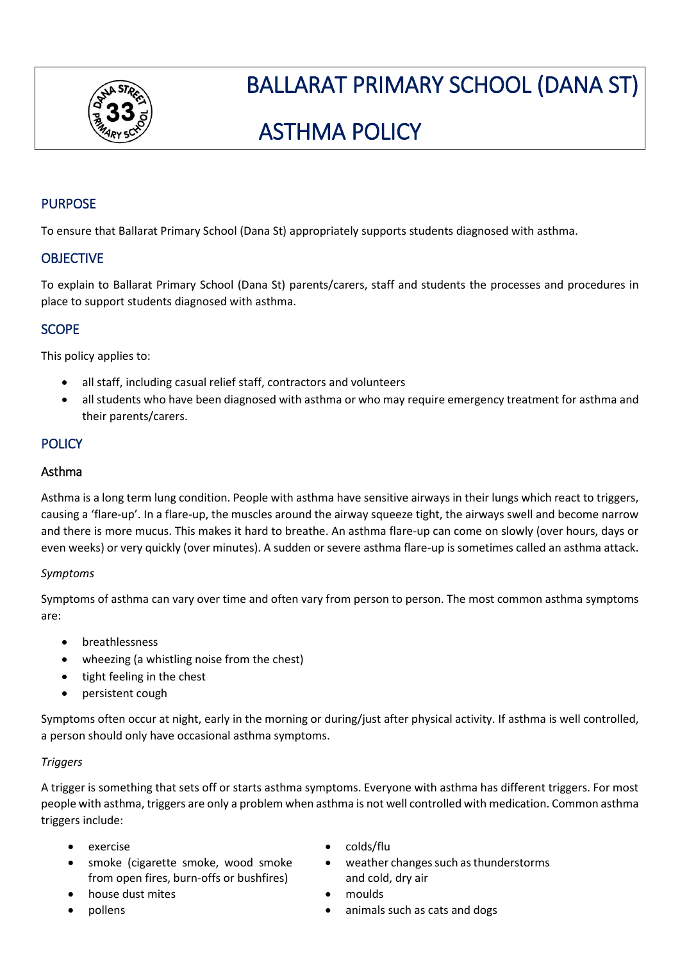

# BALLARAT PRIMARY SCHOOL (DANA ST)

# ASTHMA POLICY

# **PURPOSE**

To ensure that Ballarat Primary School (Dana St) appropriately supports students diagnosed with asthma.

# **OBJECTIVE**

To explain to Ballarat Primary School (Dana St) parents/carers, staff and students the processes and procedures in place to support students diagnosed with asthma.

# **SCOPE**

This policy applies to:

- all staff, including casual relief staff, contractors and volunteers
- all students who have been diagnosed with asthma or who may require emergency treatment for asthma and their parents/carers.

## **POLICY**

### Asthma

Asthma is a long term lung condition. People with asthma have sensitive airways in their lungs which react to triggers, causing a 'flare-up'. In a flare-up, the muscles around the airway squeeze tight, the airways swell and become narrow and there is more mucus. This makes it hard to breathe. An asthma flare-up can come on slowly (over hours, days or even weeks) or very quickly (over minutes). A sudden or severe asthma flare-up is sometimes called an asthma attack.

#### *Symptoms*

Symptoms of asthma can vary over time and often vary from person to person. The most common asthma symptoms are:

- breathlessness
- wheezing (a whistling noise from the chest)
- tight feeling in the chest
- persistent cough

Symptoms often occur at night, early in the morning or during/just after physical activity. If asthma is well controlled, a person should only have occasional asthma symptoms.

#### *Triggers*

A trigger is something that sets off or starts asthma symptoms. Everyone with asthma has different triggers. For most people with asthma, triggers are only a problem when asthma is not well controlled with medication. Common asthma triggers include:

- 
- smoke (cigarette smoke, wood smoke from open fires, burn-offs or bushfires)
- house dust mites **•** moulds
- 
- exercise colds/flu
	- weather changes such as thunderstorms and cold, dry air
	-
	- pollens animals such as cats and dogs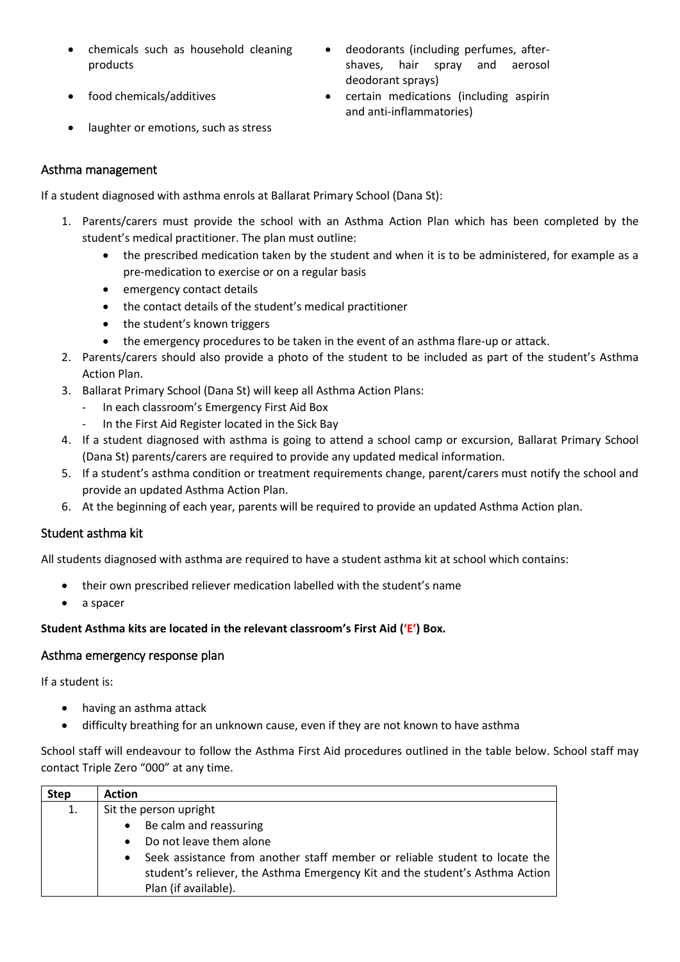- chemicals such as household cleaning products
- 
- deodorants (including perfumes, aftershaves, hair spray and aerosol deodorant sprays)
- food chemicals/additives certain medications (including aspirin and anti-inflammatories)
- laughter or emotions, such as stress

## Asthma management

If a student diagnosed with asthma enrols at Ballarat Primary School (Dana St):

- 1. Parents/carers must provide the school with an Asthma Action Plan which has been completed by the student's medical practitioner. The plan must outline:
	- the prescribed medication taken by the student and when it is to be administered, for example as a pre-medication to exercise or on a regular basis
	- emergency contact details
	- the contact details of the student's medical practitioner
	- the student's known triggers
	- the emergency procedures to be taken in the event of an asthma flare-up or attack.
- 2. Parents/carers should also provide a photo of the student to be included as part of the student's Asthma Action Plan.
- 3. Ballarat Primary School (Dana St) will keep all Asthma Action Plans:
	- In each classroom's Emergency First Aid Box
	- In the First Aid Register located in the Sick Bay
- 4. If a student diagnosed with asthma is going to attend a school camp or excursion, Ballarat Primary School (Dana St) parents/carers are required to provide any updated medical information.
- 5. If a student's asthma condition or treatment requirements change, parent/carers must notify the school and provide an updated Asthma Action Plan.
- 6. At the beginning of each year, parents will be required to provide an updated Asthma Action plan.

## Student asthma kit

All students diagnosed with asthma are required to have a student asthma kit at school which contains:

- their own prescribed reliever medication labelled with the student's name
- a spacer

#### **Student Asthma kits are located in the relevant classroom's First Aid ('E') Box.**

#### Asthma emergency response plan

If a student is:

- having an asthma attack
- difficulty breathing for an unknown cause, even if they are not known to have asthma

School staff will endeavour to follow the Asthma First Aid procedures outlined in the table below. School staff may contact Triple Zero "000" at any time.

| <b>Step</b> | <b>Action</b>                                                                            |
|-------------|------------------------------------------------------------------------------------------|
| 1.          | Sit the person upright                                                                   |
|             | Be calm and reassuring<br>$\bullet$                                                      |
|             | Do not leave them alone<br>$\bullet$                                                     |
|             | Seek assistance from another staff member or reliable student to locate the<br>$\bullet$ |
|             | student's reliever, the Asthma Emergency Kit and the student's Asthma Action             |
|             | Plan (if available).                                                                     |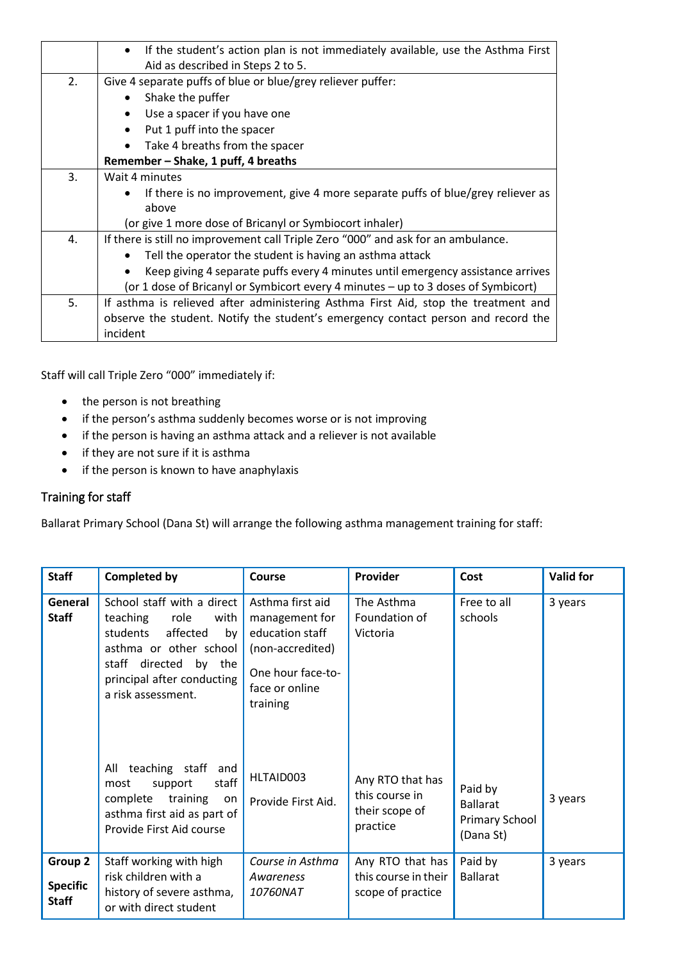|    | If the student's action plan is not immediately available, use the Asthma First<br>Aid as described in Steps 2 to 5. |  |  |  |  |  |  |
|----|----------------------------------------------------------------------------------------------------------------------|--|--|--|--|--|--|
| 2. | Give 4 separate puffs of blue or blue/grey reliever puffer:                                                          |  |  |  |  |  |  |
|    | Shake the puffer                                                                                                     |  |  |  |  |  |  |
|    | Use a spacer if you have one                                                                                         |  |  |  |  |  |  |
|    | Put 1 puff into the spacer                                                                                           |  |  |  |  |  |  |
|    | Take 4 breaths from the spacer                                                                                       |  |  |  |  |  |  |
|    | Remember - Shake, 1 puff, 4 breaths                                                                                  |  |  |  |  |  |  |
| 3. | Wait 4 minutes                                                                                                       |  |  |  |  |  |  |
|    | If there is no improvement, give 4 more separate puffs of blue/grey reliever as                                      |  |  |  |  |  |  |
|    | above                                                                                                                |  |  |  |  |  |  |
|    | (or give 1 more dose of Bricanyl or Symbiocort inhaler)                                                              |  |  |  |  |  |  |
| 4. | If there is still no improvement call Triple Zero "000" and ask for an ambulance.                                    |  |  |  |  |  |  |
|    | Tell the operator the student is having an asthma attack                                                             |  |  |  |  |  |  |
|    | Keep giving 4 separate puffs every 4 minutes until emergency assistance arrives                                      |  |  |  |  |  |  |
|    | (or 1 dose of Bricanyl or Symbicort every 4 minutes - up to 3 doses of Symbicort)                                    |  |  |  |  |  |  |
| 5. | If asthma is relieved after administering Asthma First Aid, stop the treatment and                                   |  |  |  |  |  |  |
|    | observe the student. Notify the student's emergency contact person and record the                                    |  |  |  |  |  |  |
|    | incident                                                                                                             |  |  |  |  |  |  |

Staff will call Triple Zero "000" immediately if:

- the person is not breathing
- if the person's asthma suddenly becomes worse or is not improving
- if the person is having an asthma attack and a reliever is not available
- if they are not sure if it is asthma
- if the person is known to have anaphylaxis

# Training for staff

Ballarat Primary School (Dana St) will arrange the following asthma management training for staff:

| <b>Staff</b>                               | <b>Completed by</b>                                                                                                                                                                         | <b>Course</b>                                                                                                                | Provider                                                         | Cost                                                             | <b>Valid for</b> |
|--------------------------------------------|---------------------------------------------------------------------------------------------------------------------------------------------------------------------------------------------|------------------------------------------------------------------------------------------------------------------------------|------------------------------------------------------------------|------------------------------------------------------------------|------------------|
| General<br><b>Staff</b>                    | School staff with a direct<br>teaching<br>role<br>with<br>affected<br>students<br>by<br>asthma or other school<br>staff directed by the<br>principal after conducting<br>a risk assessment. | Asthma first aid<br>management for<br>education staff<br>(non-accredited)<br>One hour face-to-<br>face or online<br>training | The Asthma<br>Foundation of<br>Victoria                          | Free to all<br>schools                                           | 3 years          |
|                                            | teaching staff<br>All<br>and<br>staff<br>support<br>most<br>training<br>complete<br>on<br>asthma first aid as part of<br>Provide First Aid course                                           | HLTAID003<br>Provide First Aid.                                                                                              | Any RTO that has<br>this course in<br>their scope of<br>practice | Paid by<br><b>Ballarat</b><br><b>Primary School</b><br>(Dana St) | 3 years          |
| Group 2<br><b>Specific</b><br><b>Staff</b> | Staff working with high<br>risk children with a<br>history of severe asthma,<br>or with direct student                                                                                      | Course in Asthma<br>Awareness<br>10760NAT                                                                                    | Any RTO that has<br>this course in their<br>scope of practice    | Paid by<br><b>Ballarat</b>                                       | 3 years          |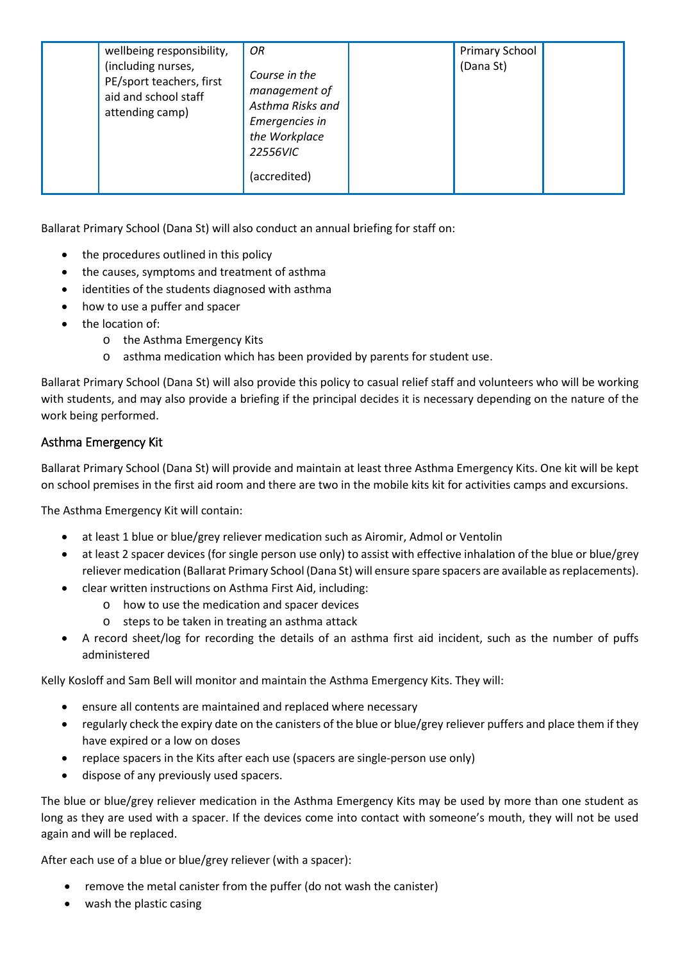| wellbeing responsibility,<br>(including nurses,<br>PE/sport teachers, first<br>aid and school staff<br>attending camp) | OR<br>Course in the<br>management of<br>Asthma Risks and<br>Emergencies in<br>the Workplace<br>22556VIC | <b>Primary School</b><br>(Dana St) |  |
|------------------------------------------------------------------------------------------------------------------------|---------------------------------------------------------------------------------------------------------|------------------------------------|--|
|                                                                                                                        | (accredited)                                                                                            |                                    |  |

Ballarat Primary School (Dana St) will also conduct an annual briefing for staff on:

- the procedures outlined in this policy
- the causes, symptoms and treatment of asthma
- identities of the students diagnosed with asthma
- how to use a puffer and spacer
- the location of:
	- o the Asthma Emergency Kits
	- o asthma medication which has been provided by parents for student use.

Ballarat Primary School (Dana St) will also provide this policy to casual relief staff and volunteers who will be working with students, and may also provide a briefing if the principal decides it is necessary depending on the nature of the work being performed.

### Asthma Emergency Kit

Ballarat Primary School (Dana St) will provide and maintain at least three Asthma Emergency Kits. One kit will be kept on school premises in the first aid room and there are two in the mobile kits kit for activities camps and excursions.

The Asthma Emergency Kit will contain:

- at least 1 blue or blue/grey reliever medication such as Airomir, Admol or Ventolin
- at least 2 spacer devices (for single person use only) to assist with effective inhalation of the blue or blue/grey reliever medication (Ballarat Primary School (Dana St) will ensure spare spacers are available as replacements).
- clear written instructions on Asthma First Aid, including:
	- o how to use the medication and spacer devices
	- o steps to be taken in treating an asthma attack
- A record sheet/log for recording the details of an asthma first aid incident, such as the number of puffs administered

Kelly Kosloff and Sam Bell will monitor and maintain the Asthma Emergency Kits. They will:

- ensure all contents are maintained and replaced where necessary
- regularly check the expiry date on the canisters of the blue or blue/grey reliever puffers and place them if they have expired or a low on doses
- replace spacers in the Kits after each use (spacers are single-person use only)
- dispose of any previously used spacers.

The blue or blue/grey reliever medication in the Asthma Emergency Kits may be used by more than one student as long as they are used with a spacer. If the devices come into contact with someone's mouth, they will not be used again and will be replaced.

After each use of a blue or blue/grey reliever (with a spacer):

- remove the metal canister from the puffer (do not wash the canister)
- wash the plastic casing